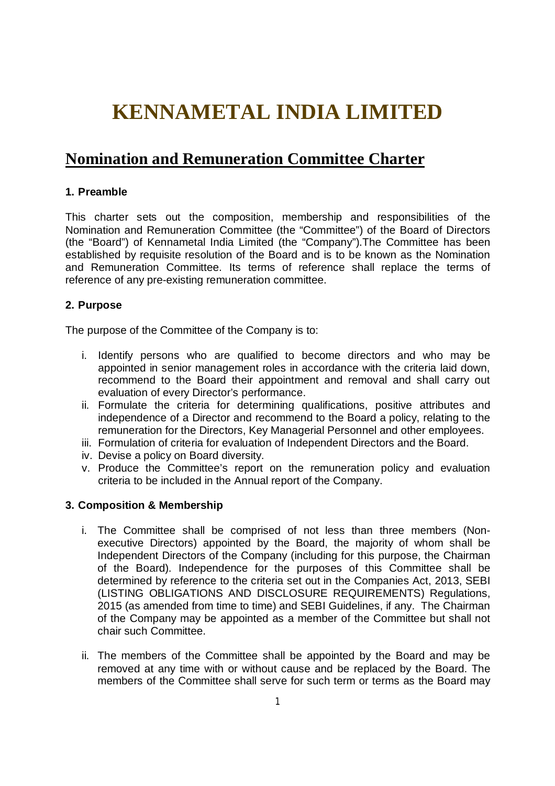# **KENNAMETAL INDIA LIMITED**

# **Nomination and Remuneration Committee Charter**

# **1. Preamble**

This charter sets out the composition, membership and responsibilities of the Nomination and Remuneration Committee (the "Committee") of the Board of Directors (the "Board") of Kennametal India Limited (the "Company").The Committee has been established by requisite resolution of the Board and is to be known as the Nomination and Remuneration Committee. Its terms of reference shall replace the terms of reference of any pre-existing remuneration committee.

# **2. Purpose**

The purpose of the Committee of the Company is to:

- i. Identify persons who are qualified to become directors and who may be appointed in senior management roles in accordance with the criteria laid down, recommend to the Board their appointment and removal and shall carry out evaluation of every Director's performance.
- ii. Formulate the criteria for determining qualifications, positive attributes and independence of a Director and recommend to the Board a policy, relating to the remuneration for the Directors, Key Managerial Personnel and other employees.
- iii. Formulation of criteria for evaluation of Independent Directors and the Board.
- iv. Devise a policy on Board diversity.
- v. Produce the Committee's report on the remuneration policy and evaluation criteria to be included in the Annual report of the Company.

# **3. Composition & Membership**

- i. The Committee shall be comprised of not less than three members (Nonexecutive Directors) appointed by the Board, the majority of whom shall be Independent Directors of the Company (including for this purpose, the Chairman of the Board). Independence for the purposes of this Committee shall be determined by reference to the criteria set out in the Companies Act, 2013, SEBI (LISTING OBLIGATIONS AND DISCLOSURE REQUIREMENTS) Regulations, 2015 (as amended from time to time) and SEBI Guidelines, if any. The Chairman of the Company may be appointed as a member of the Committee but shall not chair such Committee.
- ii. The members of the Committee shall be appointed by the Board and may be removed at any time with or without cause and be replaced by the Board. The members of the Committee shall serve for such term or terms as the Board may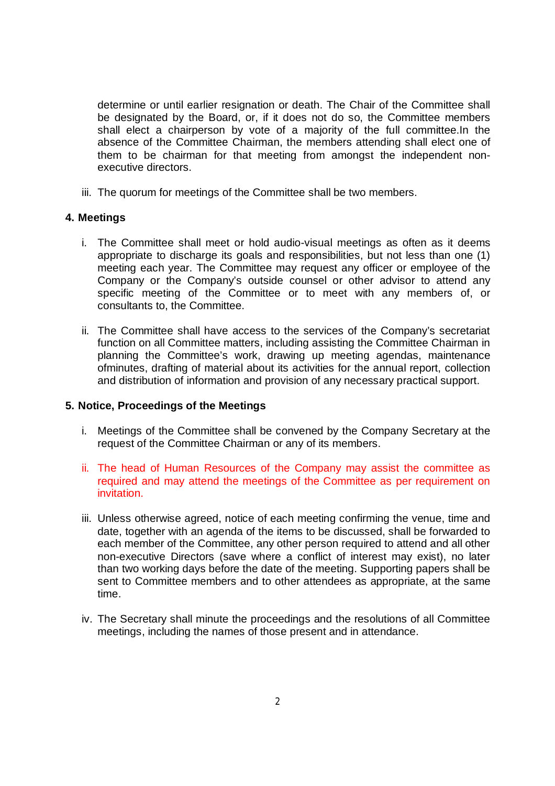determine or until earlier resignation or death. The Chair of the Committee shall be designated by the Board, or, if it does not do so, the Committee members shall elect a chairperson by vote of a majority of the full committee.In the absence of the Committee Chairman, the members attending shall elect one of them to be chairman for that meeting from amongst the independent nonexecutive directors.

iii. The quorum for meetings of the Committee shall be two members.

#### **4. Meetings**

- i. The Committee shall meet or hold audio-visual meetings as often as it deems appropriate to discharge its goals and responsibilities, but not less than one (1) meeting each year. The Committee may request any officer or employee of the Company or the Company's outside counsel or other advisor to attend any specific meeting of the Committee or to meet with any members of, or consultants to, the Committee.
- ii. The Committee shall have access to the services of the Company's secretariat function on all Committee matters, including assisting the Committee Chairman in planning the Committee's work, drawing up meeting agendas, maintenance ofminutes, drafting of material about its activities for the annual report, collection and distribution of information and provision of any necessary practical support.

#### **5. Notice, Proceedings of the Meetings**

- i. Meetings of the Committee shall be convened by the Company Secretary at the request of the Committee Chairman or any of its members.
- ii. The head of Human Resources of the Company may assist the committee as required and may attend the meetings of the Committee as per requirement on invitation.
- iii. Unless otherwise agreed, notice of each meeting confirming the venue, time and date, together with an agenda of the items to be discussed, shall be forwarded to each member of the Committee, any other person required to attend and all other non-executive Directors (save where a conflict of interest may exist), no later than two working days before the date of the meeting. Supporting papers shall be sent to Committee members and to other attendees as appropriate, at the same time.
- iv. The Secretary shall minute the proceedings and the resolutions of all Committee meetings, including the names of those present and in attendance.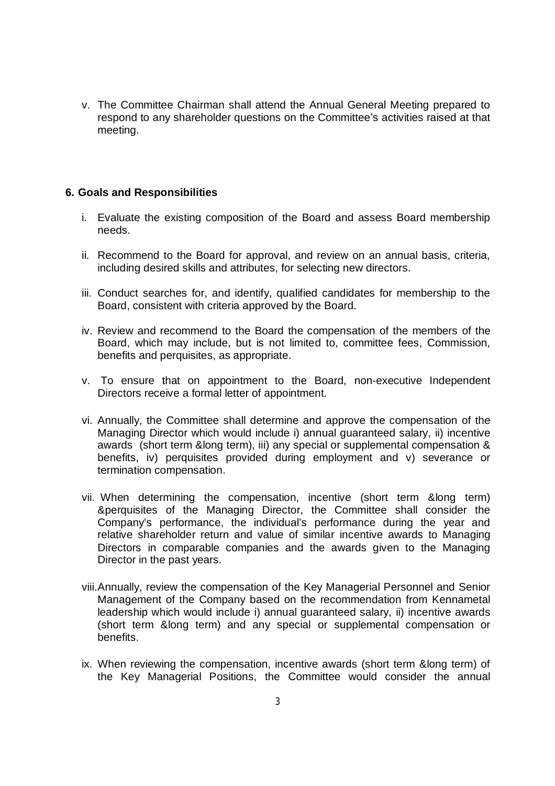v. The Committee Chairman shall attend the Annual General Meeting prepared to respond to any shareholder questions on the Committee's activities raised at that meeting.

#### **6. Goals and Responsibilities**

- i. Evaluate the existing composition of the Board and assess Board membership needs.
- ii. Recommend to the Board for approval, and review on an annual basis, criteria, including desired skills and attributes, for selecting new directors.
- iii. Conduct searches for, and identify, qualified candidates for membership to the Board, consistent with criteria approved by the Board.
- iv. Review and recommend to the Board the compensation of the members of the Board, which may include, but is not limited to, committee fees, Commission, benefits and perquisites, as appropriate.
- v. To ensure that on appointment to the Board, non-executive Independent Directors receive a formal letter of appointment.
- vi. Annually, the Committee shall determine and approve the compensation of the Managing Director which would include i) annual guaranteed salary, ii) incentive awards (short term &long term), iii) any special or supplemental compensation & benefits, iv) perquisites provided during employment and v) severance or termination compensation.
- vii. When determining the compensation, incentive (short term &long term) &perquisites of the Managing Director, the Committee shall consider the Company's performance, the individual's performance during the year and relative shareholder return and value of similar incentive awards to Managing Directors in comparable companies and the awards given to the Managing Director in the past years.
- viii.Annually, review the compensation of the Key Managerial Personnel and Senior Management of the Company based on the recommendation from Kennametal leadership which would include i) annual guaranteed salary, ii) incentive awards (short term &long term) and any special or supplemental compensation or benefits.
- ix. When reviewing the compensation, incentive awards (short term &long term) of the Key Managerial Positions, the Committee would consider the annual